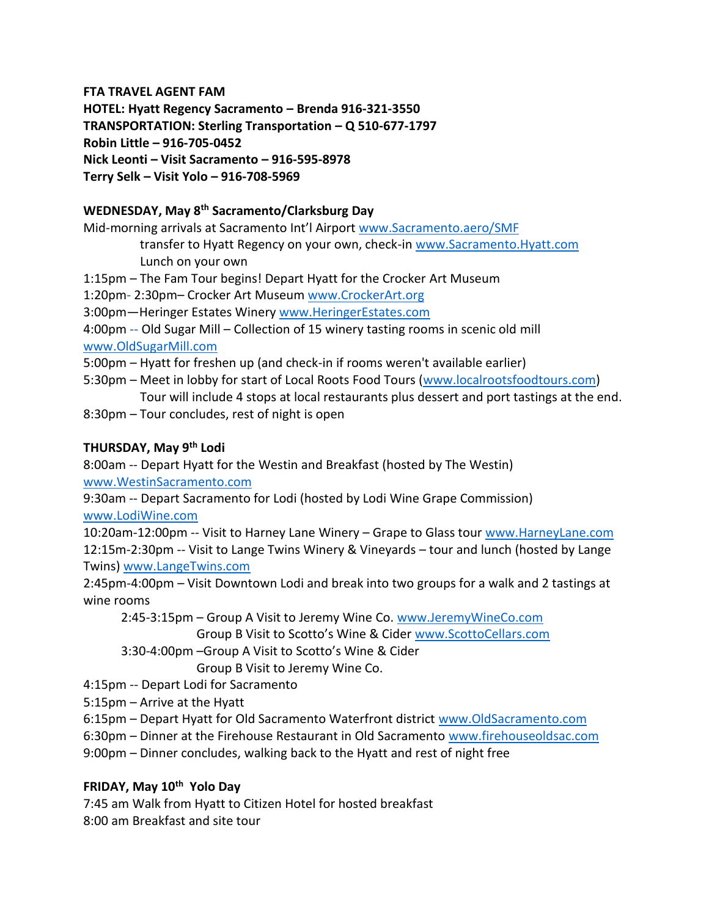#### **FTA TRAVEL AGENT FAM**

**HOTEL: Hyatt Regency Sacramento – Brenda 916-321-3550 TRANSPORTATION: Sterling Transportation – Q 510-677-1797 Robin Little – 916-705-0452 Nick Leonti – Visit Sacramento – 916-595-8978 Terry Selk – Visit Yolo – 916-708-5969**

# **WEDNESDAY, May 8th Sacramento/Clarksburg Day**

Mid-morning arrivals at Sacramento Int'l Airport [www.Sacramento.aero/SMF](http://www.sacramento.aero/SMF)

 transfer to Hyatt Regency on your own, check-in [www.Sacramento.Hyatt.com](http://www.sacramento.hyatt.com/) Lunch on your own

1:15pm – The Fam Tour begins! Depart Hyatt for the Crocker Art Museum

1:20pm- 2:30pm– Crocker Art Museum [www.CrockerArt.org](http://www.crockerart.org/)

3:00pm—Heringer Estates Winery [www.HeringerEstates.com](http://www.heringerestates.com/)

4:00pm -- Old Sugar Mill – Collection of 15 winery tasting rooms in scenic old mill [www.OldSugarMill.com](http://www.oldsugarmill.com/)

5:00pm – Hyatt for freshen up (and check-in if rooms weren't available earlier)

- 5:30pm Meet in lobby for start of Local Roots Food Tours [\(www.localrootsfoodtours.com\)](http://www.localrootsfoodtours.com/)
- Tour will include 4 stops at local restaurants plus dessert and port tastings at the end.
- 8:30pm Tour concludes, rest of night is open

### **THURSDAY, May 9th Lodi**

8:00am -- Depart Hyatt for the Westin and Breakfast (hosted by The Westin) [www.WestinSacramento.com](http://www.westinsacramento.com/)

9:30am -- Depart Sacramento for Lodi (hosted by Lodi Wine Grape Commission) [www.LodiWine.com](http://www.lodiwine.com/)

10:20am-12:00pm -- Visit to Harney Lane Winery – Grape to Glass tour [www.HarneyLane.com](http://www.harneylane.com/) 12:15m-2:30pm -- Visit to Lange Twins Winery & Vineyards – tour and lunch (hosted by Lange Twins) [www.LangeTwins.com](http://www.langetwins.com/)

2:45pm-4:00pm – Visit Downtown Lodi and break into two groups for a walk and 2 tastings at wine rooms

 2:45-3:15pm – Group A Visit to Jeremy Wine Co. [www.JeremyWineCo.com](http://www.jeremywineco.com/) Group B Visit to Scotto's Wine & Cider [www.ScottoCellars.com](http://www.scottocellars.com/)

3:30-4:00pm –Group A Visit to Scotto's Wine & Cider

Group B Visit to Jeremy Wine Co.

- 4:15pm -- Depart Lodi for Sacramento
- 5:15pm Arrive at the Hyatt
- 6:15pm Depart Hyatt for Old Sacramento Waterfront district [www.OldSacramento.com](http://www.oldsacramento.com/)
- 6:30pm Dinner at the Firehouse Restaurant in Old Sacramento [www.firehouseoldsac.com](http://www.firehouseoldsac.com/)
- 9:00pm Dinner concludes, walking back to the Hyatt and rest of night free

### **FRIDAY, May 10th Yolo Day**

7:45 am Walk from Hyatt to Citizen Hotel for hosted breakfast 8:00 am Breakfast and site tour